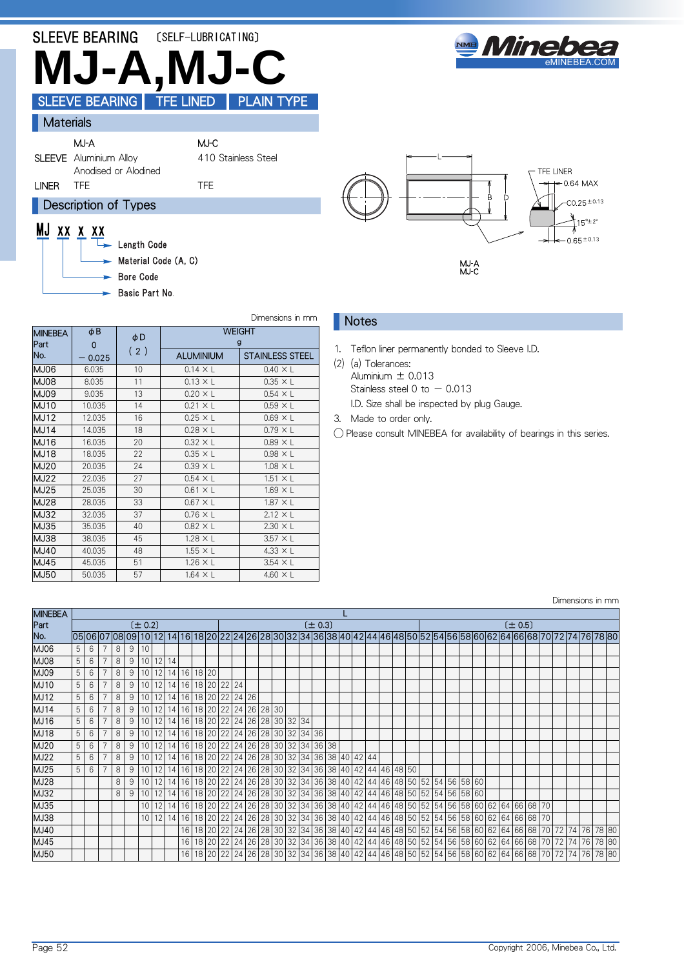# SLEEVE BEARING [SELF-LUBRICATING] **MJ-A,MJ-C** SLEEVE BEARING | TFE LINED | PLAIN TYPE



**Materials** 

MJ-A MJ-C SLEEVE Aluminium Alloy

410 Stainless Steel

# LINER TFE TELEVISION TO THE TELEVISION OF THE TELEVISION OF THE TELEVISION OF THE TELEVISION OF THE TELEVISION

**Description of Types** 

Anodised or Alodined

# MJ xx x xx

Length Code  $\blacktriangleright$  Material Code  $(A, C)$ 

Bore Code

Basic Part No.

| B            | TFE LINER<br>$+ 0.64$ MAX<br>$CO.25^{\pm 0.13}$<br>$15^{\circ}$ $\pm$ 2°<br>$\leftarrow$ 0.65 $\pm$ 0.13<br>⇥ |
|--------------|---------------------------------------------------------------------------------------------------------------|
| MJ A<br>MJ C |                                                                                                               |

#### Dimensions in mm

| <b>MINEBEA</b><br>Part | $\phi$ B<br>$\mathbf 0$ | φD  |                  | <b>WEIGHT</b><br>g     |
|------------------------|-------------------------|-----|------------------|------------------------|
| No.                    | $-0.025$                | (2) | <b>ALUMINIUM</b> | <b>STAINLESS STEEL</b> |
| MJ06                   | 6.035                   | 10  | $0.14 \times L$  | $0.40 \times L$        |
| <b>MJ08</b>            | 8.035                   | 11  | $0.13 \times L$  | $0.35 \times L$        |
| MJ09                   | 9.035                   | 13  | $0.20 \times L$  | $0.54 \times L$        |
| <b>MJ10</b>            | 10.035                  | 14  | $0.21 \times L$  | $0.59 \times L$        |
| <b>MJ12</b>            | 12.035                  | 16  | $0.25 \times L$  | $0.69 \times L$        |
| <b>MJ14</b>            | 14.035                  | 18  | $0.28 \times L$  | $0.79 \times L$        |
| <b>MJ16</b>            | 16.035                  | 20  | $0.32 \times L$  | $0.89 \times L$        |
| <b>MJ18</b>            | 18.035                  | 22  | $0.35 \times L$  | $0.98 \times L$        |
| <b>MJ20</b>            | 20.035                  | 24  | $0.39 \times L$  | $1.08 \times L$        |
| <b>MJ22</b>            | 22.035                  | 27  | $0.54 \times L$  | $1.51 \times L$        |
| MJ25                   | 25.035                  | 30  | $0.61 \times L$  | $1.69 \times L$        |
| MJ28                   | 28.035                  | 33  | $0.67 \times L$  | $1.87 \times L$        |
| <b>MJ32</b>            | 32.035                  | 37  | $0.76 \times L$  | $2.12 \times L$        |
| MJ35                   | 35.035                  | 40  | $0.82 \times L$  | $2.30 \times L$        |
| MJ38                   | 38.035                  | 45  | $1.28 \times L$  | $3.57 \times L$        |
| <b>MJ40</b>            | 40.035                  | 48  | $1.55 \times L$  | $4.33 \times L$        |
| MJ45                   | 45.035                  | 51  | $1.26 \times L$  | $3.54 \times L$        |
| <b>MJ50</b>            | 50.035                  | 57  | $1.64 \times L$  | 4.60 $\times$ L        |

### **Notes**

1. Teflon liner permanently bonded to Sleeve I.D.

(2) (a) Tolerances:

- Aluminium  $\pm$  0.013 Stainless steel  $0$  to  $-0.013$
- 
- I.D. Size shall be inspected by plug Gauge.

3. Made to order only.

◯ Please consult MINEBEA for availability of bearings in this series.

|                |   |                 |             |   |   |                 |                |              |                                                                          |                                                      |  |  |  |             |  |  |  |                                                                                    |                                                                                  |  |  |             |  | Dimensions in mm                                                                                                           |  |  |
|----------------|---|-----------------|-------------|---|---|-----------------|----------------|--------------|--------------------------------------------------------------------------|------------------------------------------------------|--|--|--|-------------|--|--|--|------------------------------------------------------------------------------------|----------------------------------------------------------------------------------|--|--|-------------|--|----------------------------------------------------------------------------------------------------------------------------|--|--|
| <b>MINEBEA</b> |   |                 |             |   |   |                 |                |              |                                                                          |                                                      |  |  |  |             |  |  |  |                                                                                    |                                                                                  |  |  |             |  |                                                                                                                            |  |  |
| Part           |   |                 |             |   |   | $(\pm 0.2)$     |                |              |                                                                          |                                                      |  |  |  | $(\pm 0.3)$ |  |  |  |                                                                                    |                                                                                  |  |  | $(\pm 0.5)$ |  |                                                                                                                            |  |  |
| No.            |   |                 |             |   |   |                 |                |              |                                                                          |                                                      |  |  |  |             |  |  |  |                                                                                    |                                                                                  |  |  |             |  | 05 06 07 08 09 10 12 14 16 18 20 22 24 26 28 30 32 34 36 38 40 42 44 46 48 50 52 54 56 58 60 62 64 66 68 70 72 74 76 78 80 |  |  |
| MJ06           | 5 | 6               | $7^{\circ}$ | 8 | 9 | 10              |                |              |                                                                          |                                                      |  |  |  |             |  |  |  |                                                                                    |                                                                                  |  |  |             |  |                                                                                                                            |  |  |
| <b>BOLM</b>    |   | 6               |             | 8 | 9 | 10              |                | 12 14        |                                                                          |                                                      |  |  |  |             |  |  |  |                                                                                    |                                                                                  |  |  |             |  |                                                                                                                            |  |  |
| <b>MJ09</b>    | 5 | 6               |             | 8 | 9 | 10 <sup>1</sup> |                | $12$   14    | 16 18 20                                                                 |                                                      |  |  |  |             |  |  |  |                                                                                    |                                                                                  |  |  |             |  |                                                                                                                            |  |  |
| <b>MJ10</b>    | 5 | 6               |             | 8 | 9 | 10 <sup>1</sup> |                | 12 14        | 16                                                                       | 18 20 22 24                                          |  |  |  |             |  |  |  |                                                                                    |                                                                                  |  |  |             |  |                                                                                                                            |  |  |
| <b>MJ12</b>    | 5 | 6               |             | 8 | 9 | 10 <sup>1</sup> |                | 12 14        |                                                                          | 16 18 20 22 24 26                                    |  |  |  |             |  |  |  |                                                                                    |                                                                                  |  |  |             |  |                                                                                                                            |  |  |
| <b>MJ14</b>    | 5 | 6               |             | 8 | 9 | 10 <sup>1</sup> |                |              | $12$   14  16                                                            | 18 20 22 24 26 28 30                                 |  |  |  |             |  |  |  |                                                                                    |                                                                                  |  |  |             |  |                                                                                                                            |  |  |
| MJ16           | 5 | 6               |             | 8 | 9 | 10 <sup>1</sup> |                | $12 \mid 14$ | 16                                                                       | 18 20 22 24 26 28 30 32 34                           |  |  |  |             |  |  |  |                                                                                    |                                                                                  |  |  |             |  |                                                                                                                            |  |  |
| <b>MJ18</b>    | 5 | $6\phantom{1}6$ |             | 8 | 9 | 10 <sup>1</sup> |                |              | 12 14 16 18 20 22 24 26 28 30 32 34 36                                   |                                                      |  |  |  |             |  |  |  |                                                                                    |                                                                                  |  |  |             |  |                                                                                                                            |  |  |
| MJ20           | 5 | 6               |             | 8 | 9 |                 | $10$   12   14 |              | 16                                                                       | 18   20   22   24   26   28   30   32   34   36   38 |  |  |  |             |  |  |  |                                                                                    |                                                                                  |  |  |             |  |                                                                                                                            |  |  |
| <b>MJ22</b>    | 5 | 6               |             | 8 | 9 | 10 <sup>1</sup> |                | $12$   14    | 16   18   20   22   24   26   28   30   32   34   36   38   40   42   44 |                                                      |  |  |  |             |  |  |  |                                                                                    |                                                                                  |  |  |             |  |                                                                                                                            |  |  |
| MJ25           | 5 | 6               |             | 8 | 9 | 10 <sup>1</sup> |                |              | $12$   14  16                                                            |                                                      |  |  |  |             |  |  |  | 18   20   22   24   26   28   30   32   34   36   38   40   42   44   46   48   50 |                                                                                  |  |  |             |  |                                                                                                                            |  |  |
| MJ28           |   |                 |             | 8 | 9 | 10              |                | $12$   14    | 16                                                                       |                                                      |  |  |  |             |  |  |  |                                                                                    | 18 20 22 24 26 28 30 32 34 36 38 40 42 44 46 48 50 52 54 56 58 60                |  |  |             |  |                                                                                                                            |  |  |
| MJ32           |   |                 |             | 8 | 9 | 10 <sup>1</sup> |                | $12$   14    | 16                                                                       |                                                      |  |  |  |             |  |  |  |                                                                                    | 18 20 22 24 26 28 30 32 34 36 38 40 42 44 46 48 50 52 54 56 58 60                |  |  |             |  |                                                                                                                            |  |  |
| MJ35           |   |                 |             |   |   | 10 <sup>1</sup> |                | 12 14        | 16                                                                       |                                                      |  |  |  |             |  |  |  |                                                                                    | 18 20 22 24 26 28 30 32 34 36 38 40 42 44 46 48 50 52 54 56 58 60 62 64 66 68 70 |  |  |             |  |                                                                                                                            |  |  |
| <b>MJ38</b>    |   |                 |             |   |   | 10 <sup>1</sup> |                | $12$   14    | 16                                                                       |                                                      |  |  |  |             |  |  |  |                                                                                    | 18 20 22 24 26 28 30 32 34 36 38 40 42 44 46 48 50 52 54 56 58 60 62 64 66 68 70 |  |  |             |  |                                                                                                                            |  |  |
| MJ40           |   |                 |             |   |   |                 |                |              | 16                                                                       |                                                      |  |  |  |             |  |  |  |                                                                                    |                                                                                  |  |  |             |  | 18 20 22 24 26 28 30 32 34 36 38 40 42 44 46 48 50 52 54 56 58 60 62 64 66 68 70 72 74 76 78 80                            |  |  |
| MJ45           |   |                 |             |   |   |                 |                |              | 16                                                                       |                                                      |  |  |  |             |  |  |  |                                                                                    |                                                                                  |  |  |             |  | 18 20 22 24 26 28 30 32 34 36 38 40 42 44 46 48 50 52 54 56 58 60 62 64 66 68 70 72 74 76 78 80                            |  |  |
| MJ50           |   |                 |             |   |   |                 |                |              | 16                                                                       |                                                      |  |  |  |             |  |  |  |                                                                                    |                                                                                  |  |  |             |  | 18 20 22 24 26 28 30 32 34 36 38 40 42 44 46 48 50 52 54 56 58 60 62 64 66 68 70 72 74 76 78 80                            |  |  |

Copyright 2006, Minebea Co., Ltd.